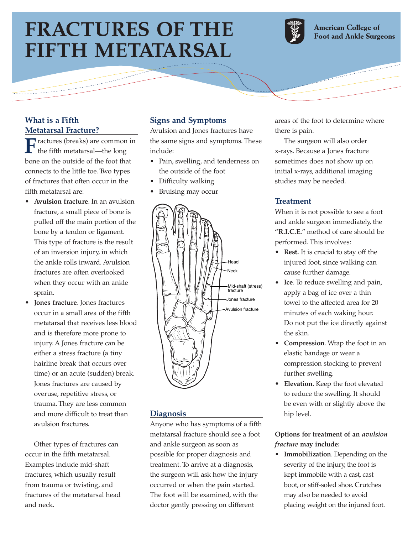# **FRACTURES OF THE FIFTH METATARSAL**



**American College of Foot and Ankle Surgeons** 

## **What is a Fifth Metatarsal Fracture?**

**F** ractures (breaks) are common in<br>the fifth metatarsal—the long bone on the outside of the foot that connects to the little toe. Two types of fractures that often occur in the fifth metatarsal are:

- **Avulsion fracture**. In an avulsion fracture, a small piece of bone is pulled off the main portion of the bone by a tendon or ligament. This type of fracture is the result of an inversion injury, in which the ankle rolls inward. Avulsion fractures are often overlooked when they occur with an ankle sprain.
- **Jones fracture**. Jones fractures occur in a small area of the fifth metatarsal that receives less blood and is therefore more prone to injury. A Jones fracture can be either a stress fracture (a tiny hairline break that occurs over time) or an acute (sudden) break. Jones fractures are caused by overuse, repetitive stress, or trauma. They are less common and more difficult to treat than avulsion fractures.

Other types of fractures can occur in the fifth metatarsal. Examples include mid-shaft fractures, which usually result from trauma or twisting, and fractures of the metatarsal head and neck.

# **Signs and Symptoms**

Avulsion and Jones fractures have the same signs and symptoms. These include:

- Pain, swelling, and tenderness on the outside of the foot
- Difficulty walking
- Bruising may occur



#### **Diagnosis**

Anyone who has symptoms of a fifth metatarsal fracture should see a foot and ankle surgeon as soon as possible for proper diagnosis and treatment. To arrive at a diagnosis, the surgeon will ask how the injury occurred or when the pain started. The foot will be examined, with the doctor gently pressing on different

areas of the foot to determine where there is pain.

The surgeon will also order x-rays. Because a Jones fracture sometimes does not show up on initial x-rays, additional imaging studies may be needed.

#### **Treatment**

When it is not possible to see a foot and ankle surgeon immediately, the "**R.I.C.E.**" method of care should be performed. This involves:

- **Rest.** It is crucial to stay off the injured foot, since walking can cause further damage.
- **Ice**. To reduce swelling and pain, apply a bag of ice over a thin towel to the affected area for 20 minutes of each waking hour. Do not put the ice directly against the skin.
- **Compression**. Wrap the foot in an elastic bandage or wear a compression stocking to prevent further swelling.
- **Elevation**. Keep the foot elevated to reduce the swelling. It should be even with or slightly above the hip level.

## **Options for treatment of an** *avulsion fracture* **may include:**

• **Immobilization**. Depending on the severity of the injury, the foot is kept immobile with a cast, cast boot, or stiff-soled shoe. Crutches may also be needed to avoid placing weight on the injured foot.